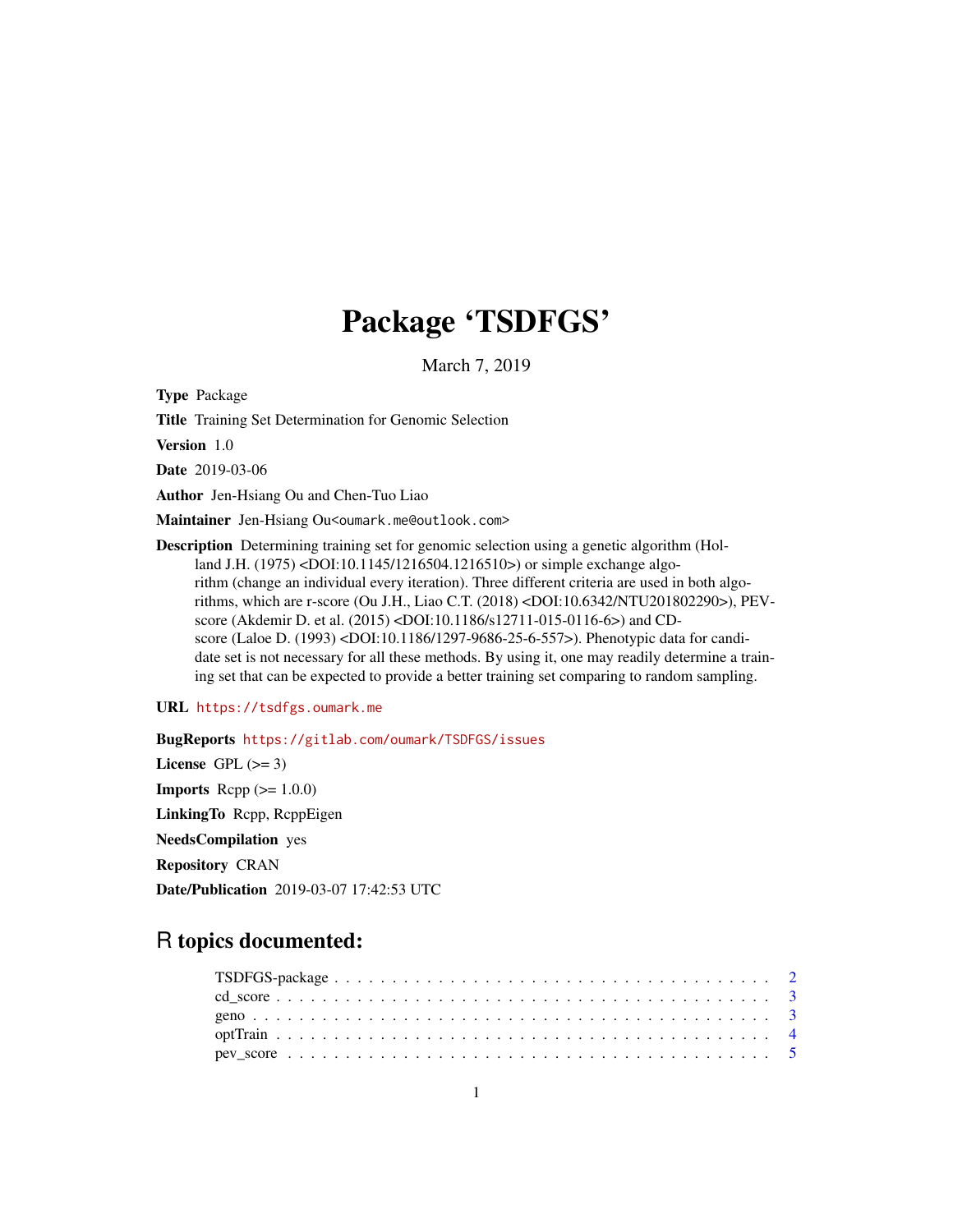## Package 'TSDFGS'

March 7, 2019

<span id="page-0-0"></span>Type Package

Title Training Set Determination for Genomic Selection

Version 1.0

Date 2019-03-06

Author Jen-Hsiang Ou and Chen-Tuo Liao

Maintainer Jen-Hsiang Ou<oumark.me@outlook.com>

Description Determining training set for genomic selection using a genetic algorithm (Holland J.H. (1975) <DOI:10.1145/1216504.1216510>) or simple exchange algorithm (change an individual every iteration). Three different criteria are used in both algorithms, which are r-score (Ou J.H., Liao C.T. (2018) <DOI:10.6342/NTU201802290>), PEVscore (Akdemir D. et al. (2015) <DOI:10.1186/s12711-015-0116-6>) and CDscore (Laloe D. (1993) <DOI:10.1186/1297-9686-25-6-557>). Phenotypic data for candidate set is not necessary for all these methods. By using it, one may readily determine a training set that can be expected to provide a better training set comparing to random sampling.

#### URL <https://tsdfgs.oumark.me>

BugReports <https://gitlab.com/oumark/TSDFGS/issues> License GPL  $(>= 3)$ **Imports** Rcpp  $(>= 1.0.0)$ LinkingTo Rcpp, RcppEigen NeedsCompilation yes Repository CRAN Date/Publication 2019-03-07 17:42:53 UTC

### R topics documented: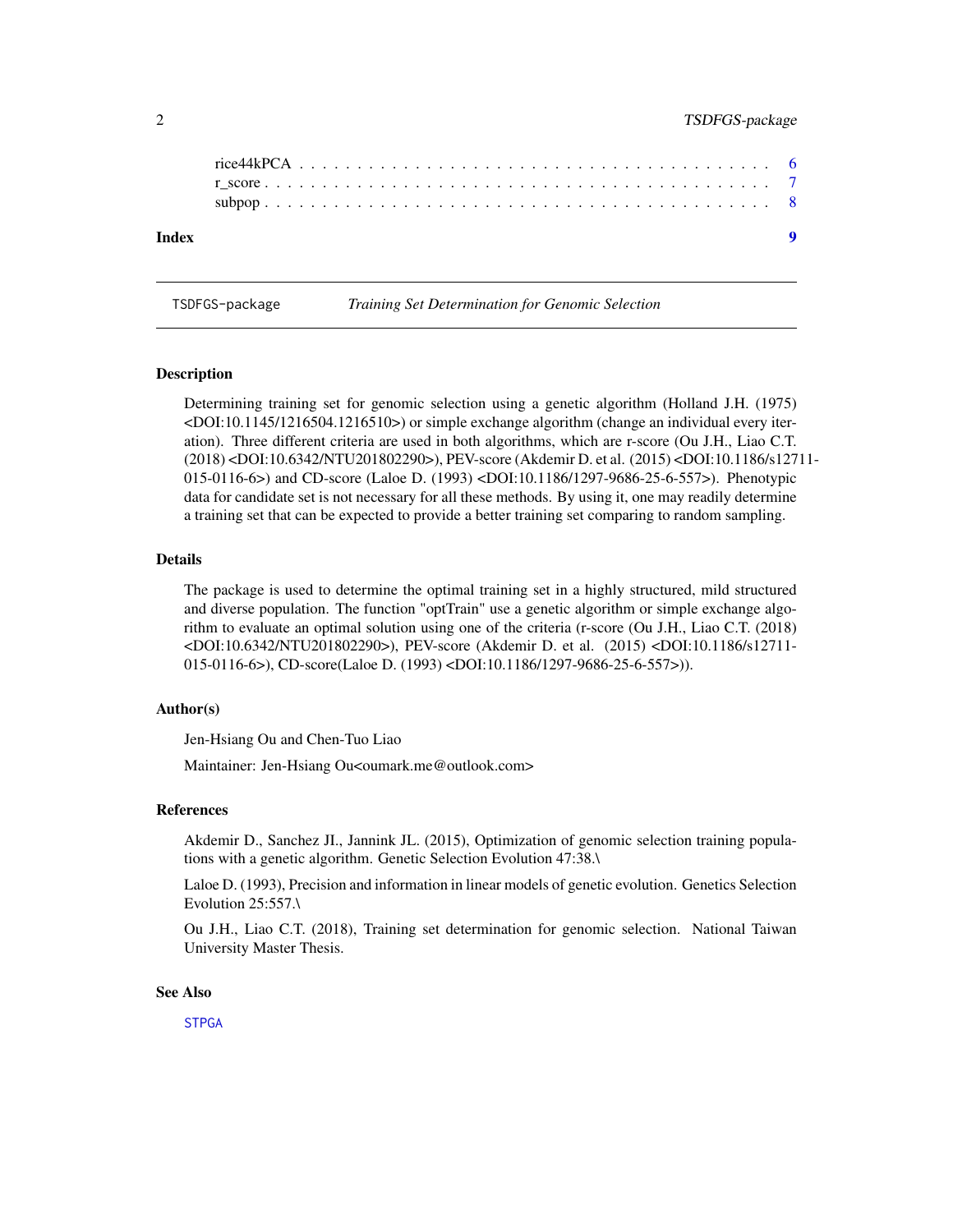<span id="page-1-0"></span>

| Index |  |  |  |  |  |  |  |  |  |  |  |  |  |  |  |  |  |  | $\blacksquare$ |
|-------|--|--|--|--|--|--|--|--|--|--|--|--|--|--|--|--|--|--|----------------|
|       |  |  |  |  |  |  |  |  |  |  |  |  |  |  |  |  |  |  |                |
|       |  |  |  |  |  |  |  |  |  |  |  |  |  |  |  |  |  |  |                |
|       |  |  |  |  |  |  |  |  |  |  |  |  |  |  |  |  |  |  |                |

TSDFGS-package *Training Set Determination for Genomic Selection*

#### Description

Determining training set for genomic selection using a genetic algorithm (Holland J.H. (1975) <DOI:10.1145/1216504.1216510>) or simple exchange algorithm (change an individual every iteration). Three different criteria are used in both algorithms, which are r-score (Ou J.H., Liao C.T. (2018) <DOI:10.6342/NTU201802290>), PEV-score (Akdemir D. et al. (2015) <DOI:10.1186/s12711- 015-0116-6>) and CD-score (Laloe D. (1993) <DOI:10.1186/1297-9686-25-6-557>). Phenotypic data for candidate set is not necessary for all these methods. By using it, one may readily determine a training set that can be expected to provide a better training set comparing to random sampling.

#### Details

The package is used to determine the optimal training set in a highly structured, mild structured and diverse population. The function "optTrain" use a genetic algorithm or simple exchange algorithm to evaluate an optimal solution using one of the criteria (r-score (Ou J.H., Liao C.T. (2018) <DOI:10.6342/NTU201802290>), PEV-score (Akdemir D. et al. (2015) <DOI:10.1186/s12711- 015-0116-6>), CD-score(Laloe D. (1993) <DOI:10.1186/1297-9686-25-6-557>)).

#### Author(s)

Jen-Hsiang Ou and Chen-Tuo Liao

Maintainer: Jen-Hsiang Ou<oumark.me@outlook.com>

#### References

Akdemir D., Sanchez JI., Jannink JL. (2015), Optimization of genomic selection training populations with a genetic algorithm. Genetic Selection Evolution 47:38.\

Laloe D. (1993), Precision and information in linear models of genetic evolution. Genetics Selection Evolution 25:557.\

Ou J.H., Liao C.T. (2018), Training set determination for genomic selection. National Taiwan University Master Thesis.

#### See Also

**[STPGA](#page-0-0)**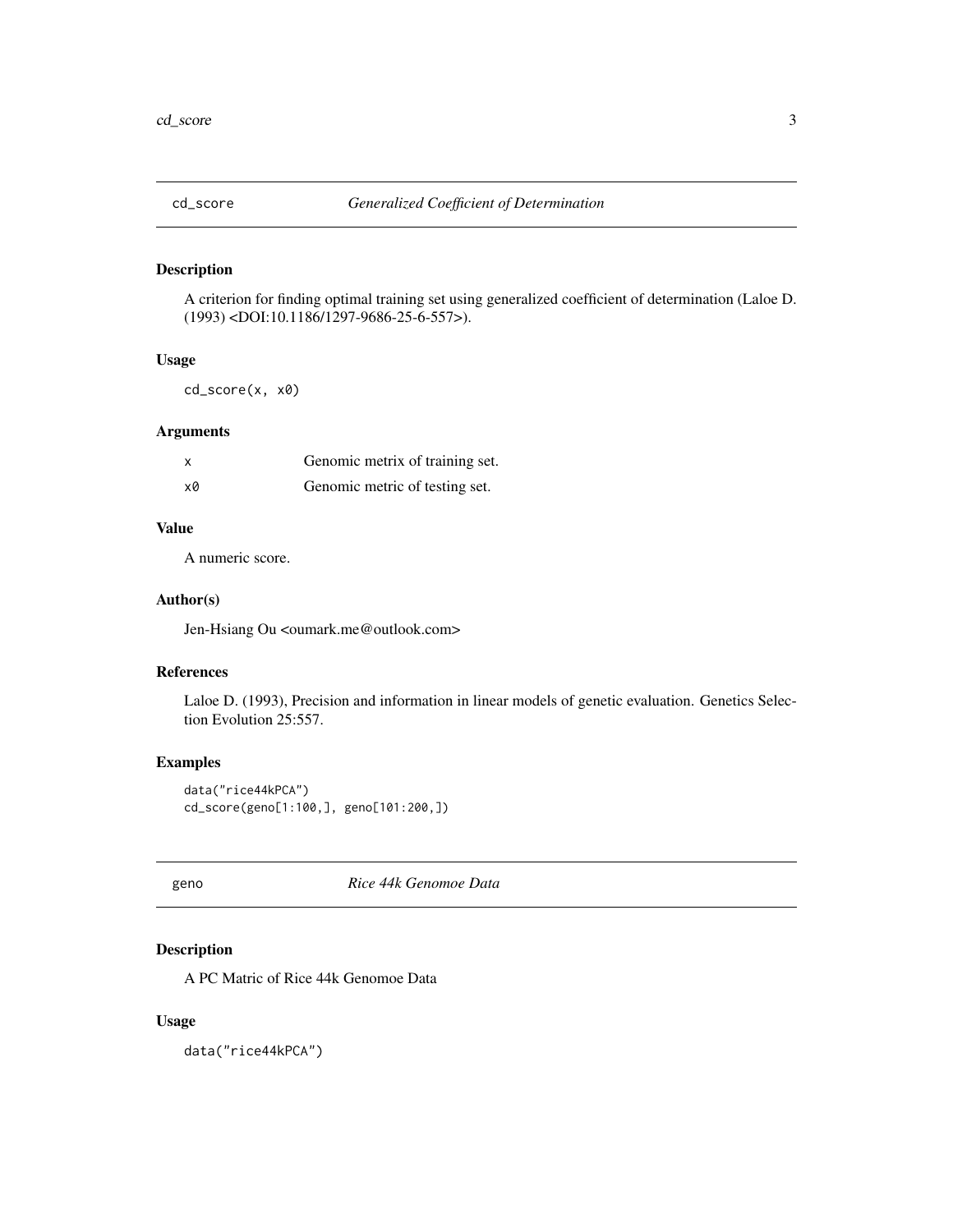<span id="page-2-0"></span>

#### Description

A criterion for finding optimal training set using generalized coefficient of determination (Laloe D. (1993) <DOI:10.1186/1297-9686-25-6-557>).

#### Usage

cd\_score(x, x0)

#### Arguments

|    | Genomic metrix of training set. |
|----|---------------------------------|
| х0 | Genomic metric of testing set.  |

#### Value

A numeric score.

#### Author(s)

Jen-Hsiang Ou <oumark.me@outlook.com>

#### References

Laloe D. (1993), Precision and information in linear models of genetic evaluation. Genetics Selection Evolution 25:557.

#### Examples

data("rice44kPCA") cd\_score(geno[1:100,], geno[101:200,])

geno *Rice 44k Genomoe Data*

#### Description

A PC Matric of Rice 44k Genomoe Data

#### Usage

data("rice44kPCA")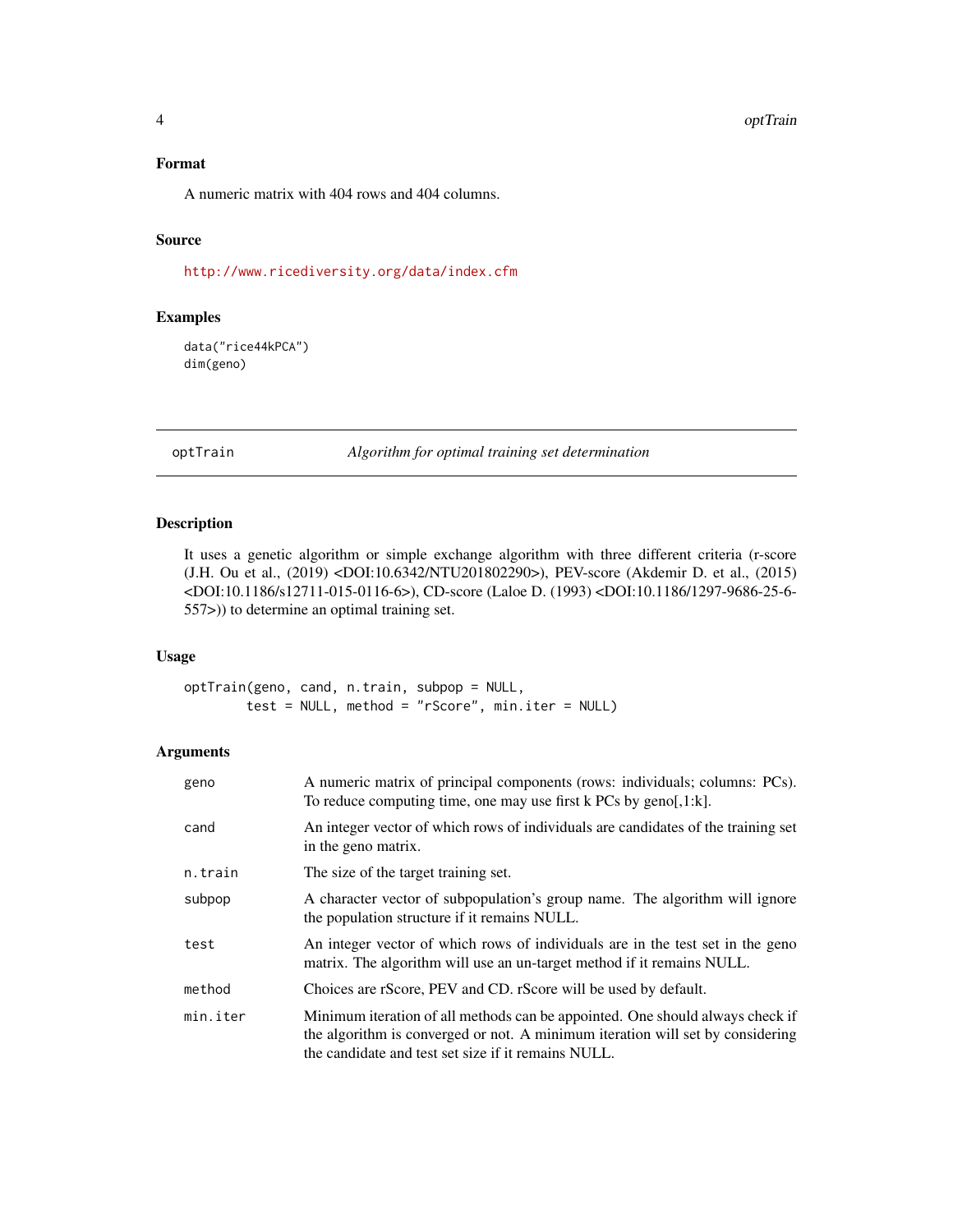#### <span id="page-3-0"></span>Format

A numeric matrix with 404 rows and 404 columns.

#### Source

<http://www.ricediversity.org/data/index.cfm>

#### Examples

data("rice44kPCA") dim(geno)

optTrain *Algorithm for optimal training set determination*

#### Description

It uses a genetic algorithm or simple exchange algorithm with three different criteria (r-score (J.H. Ou et al., (2019) <DOI:10.6342/NTU201802290>), PEV-score (Akdemir D. et al., (2015) <DOI:10.1186/s12711-015-0116-6>), CD-score (Laloe D. (1993) <DOI:10.1186/1297-9686-25-6- 557>)) to determine an optimal training set.

#### Usage

optTrain(geno, cand, n.train, subpop = NULL, test = NULL, method = "rScore", min.iter = NULL)

#### Arguments

| geno     | A numeric matrix of principal components (rows: individuals; columns: PCs).<br>To reduce computing time, one may use first $k$ PCs by geno[,1: $k$ ].                                                                  |
|----------|------------------------------------------------------------------------------------------------------------------------------------------------------------------------------------------------------------------------|
| cand     | An integer vector of which rows of individuals are candidates of the training set<br>in the geno matrix.                                                                                                               |
| n.train  | The size of the target training set.                                                                                                                                                                                   |
| subpop   | A character vector of subpopulation's group name. The algorithm will ignore<br>the population structure if it remains NULL.                                                                                            |
| test     | An integer vector of which rows of individuals are in the test set in the geno<br>matrix. The algorithm will use an un-target method if it remains NULL.                                                               |
| method   | Choices are rScore, PEV and CD. rScore will be used by default.                                                                                                                                                        |
| min.iter | Minimum iteration of all methods can be appointed. One should always check if<br>the algorithm is converged or not. A minimum iteration will set by considering<br>the candidate and test set size if it remains NULL. |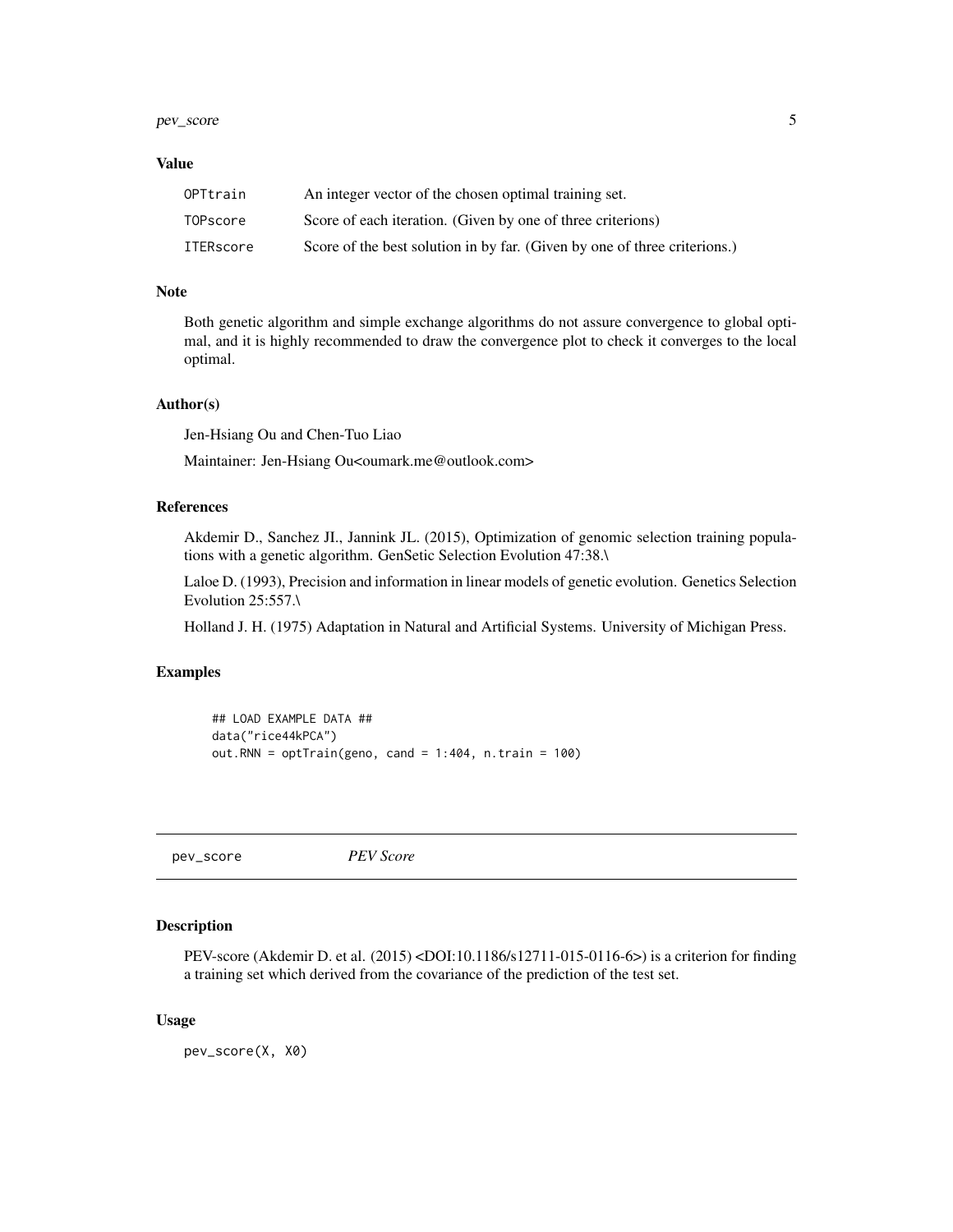#### <span id="page-4-0"></span>pev\_score 55 and 55 and 55 and 55 and 55 and 55 and 55 and 55 and 55 and 55 and 55 and 55 and 55 and 55 and 55 and 55 and 55 and 55 and 55 and 55 and 55 and 55 and 55 and 55 and 55 and 55 and 55 and 55 and 55 and 55 and 55

#### Value

| OPTtrain  | An integer vector of the chosen optimal training set.                     |
|-----------|---------------------------------------------------------------------------|
| TOPscore  | Score of each iteration. (Given by one of three criterions)               |
| ITERscore | Score of the best solution in by far. (Given by one of three criterions.) |

#### Note

Both genetic algorithm and simple exchange algorithms do not assure convergence to global optimal, and it is highly recommended to draw the convergence plot to check it converges to the local optimal.

#### Author(s)

Jen-Hsiang Ou and Chen-Tuo Liao

Maintainer: Jen-Hsiang Ou<oumark.me@outlook.com>

#### References

Akdemir D., Sanchez JI., Jannink JL. (2015), Optimization of genomic selection training populations with a genetic algorithm. GenSetic Selection Evolution 47:38.\

Laloe D. (1993), Precision and information in linear models of genetic evolution. Genetics Selection Evolution 25:557.\

Holland J. H. (1975) Adaptation in Natural and Artificial Systems. University of Michigan Press.

#### Examples

```
## LOAD EXAMPLE DATA ##
data("rice44kPCA")
out.RNN = optTrain(geno, cand = 1:404, n.train = 100)
```
pev\_score *PEV Score*

#### Description

PEV-score (Akdemir D. et al. (2015) <DOI:10.1186/s12711-015-0116-6>) is a criterion for finding a training set which derived from the covariance of the prediction of the test set.

#### Usage

pev\_score(X, X0)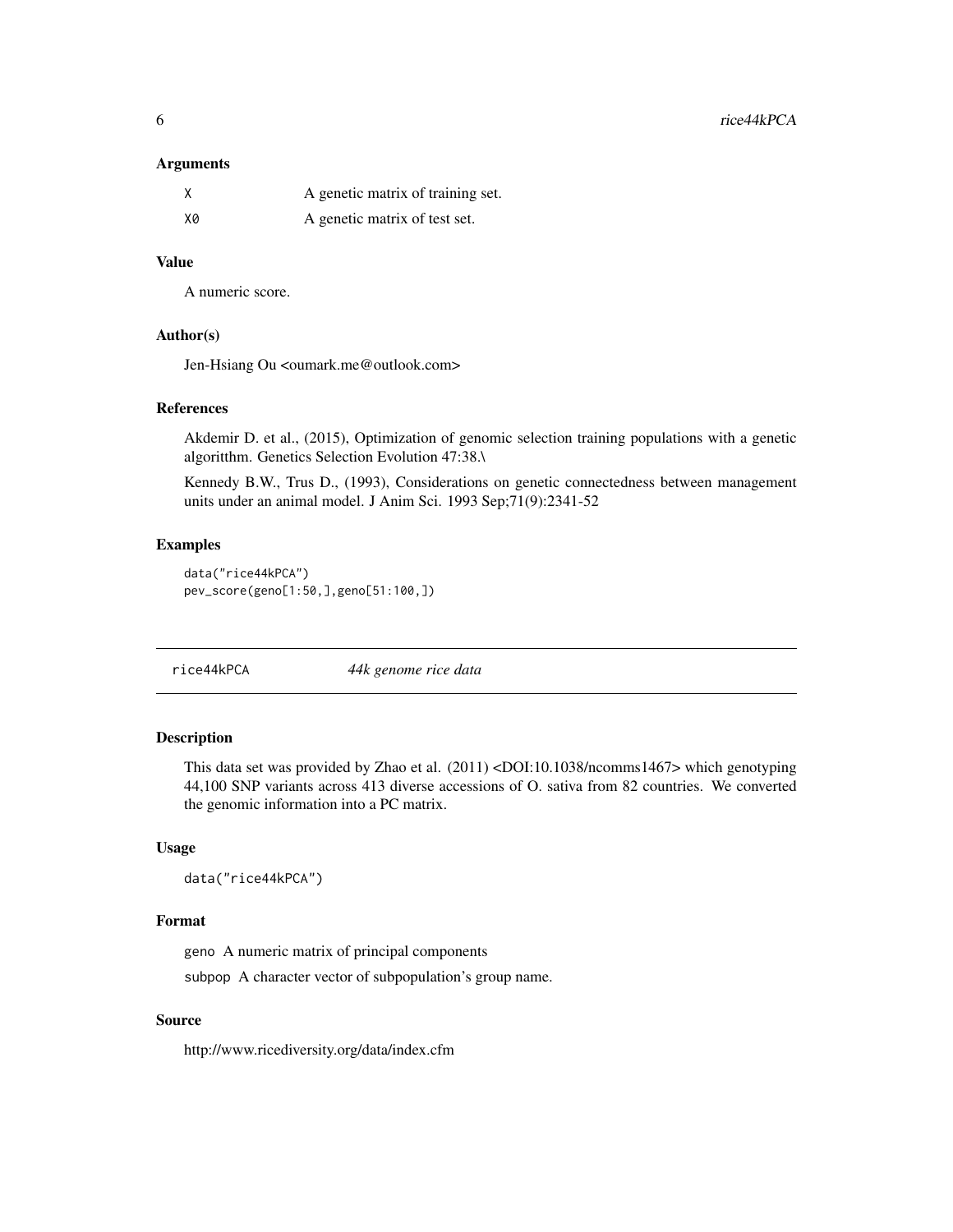#### <span id="page-5-0"></span>Arguments

|    | A genetic matrix of training set. |
|----|-----------------------------------|
| X0 | A genetic matrix of test set.     |

#### Value

A numeric score.

#### Author(s)

Jen-Hsiang Ou <oumark.me@outlook.com>

#### References

Akdemir D. et al., (2015), Optimization of genomic selection training populations with a genetic algoritthm. Genetics Selection Evolution 47:38.\

Kennedy B.W., Trus D., (1993), Considerations on genetic connectedness between management units under an animal model. J Anim Sci. 1993 Sep;71(9):2341-52

#### Examples

data("rice44kPCA") pev\_score(geno[1:50,],geno[51:100,])

rice44kPCA *44k genome rice data*

#### Description

This data set was provided by Zhao et al. (2011) <DOI:10.1038/ncomms1467> which genotyping 44,100 SNP variants across 413 diverse accessions of O. sativa from 82 countries. We converted the genomic information into a PC matrix.

#### Usage

data("rice44kPCA")

#### Format

geno A numeric matrix of principal components

subpop A character vector of subpopulation's group name.

#### Source

http://www.ricediversity.org/data/index.cfm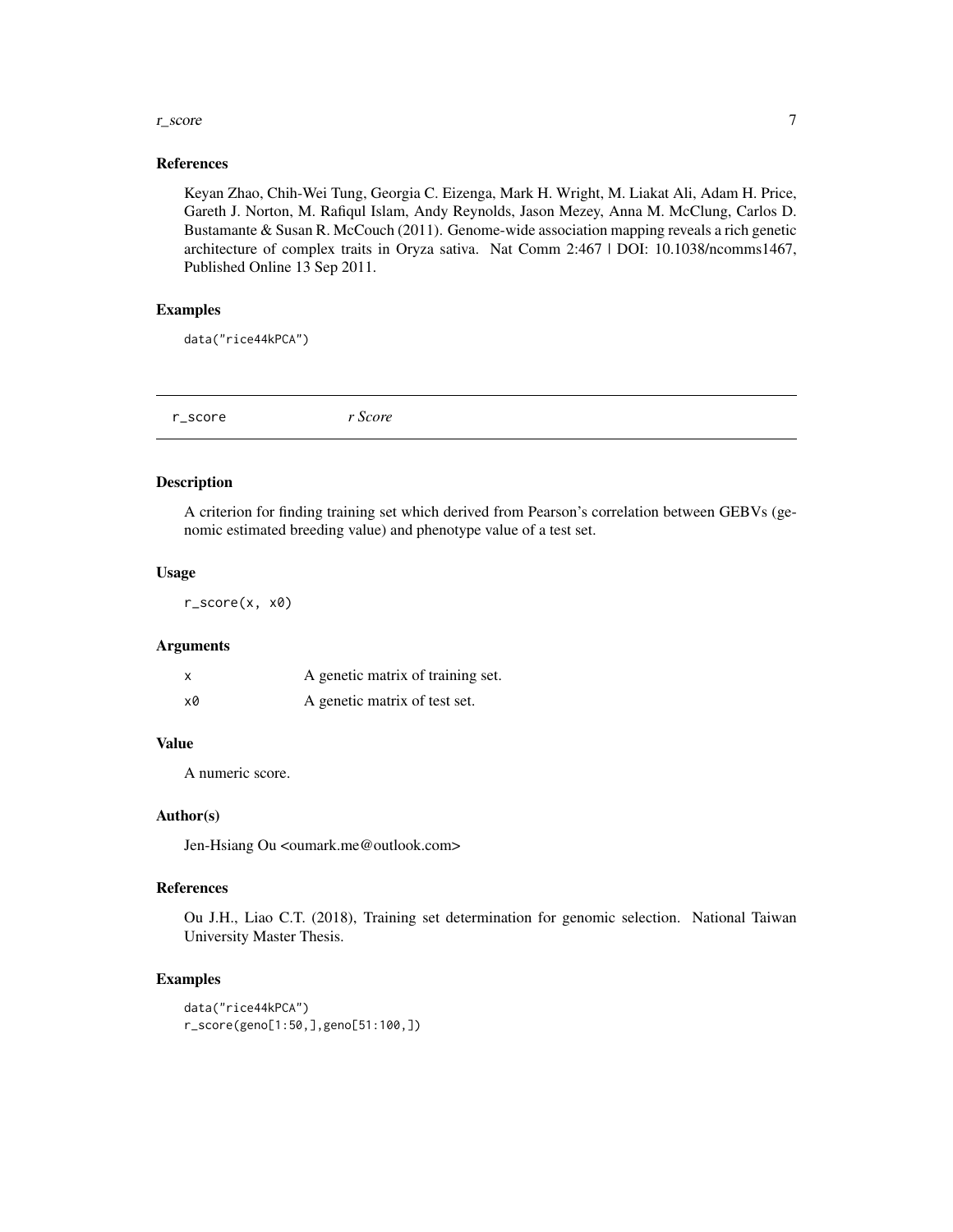#### <span id="page-6-0"></span>r\_score 7

#### References

Keyan Zhao, Chih-Wei Tung, Georgia C. Eizenga, Mark H. Wright, M. Liakat Ali, Adam H. Price, Gareth J. Norton, M. Rafiqul Islam, Andy Reynolds, Jason Mezey, Anna M. McClung, Carlos D. Bustamante & Susan R. McCouch (2011). Genome-wide association mapping reveals a rich genetic architecture of complex traits in Oryza sativa. Nat Comm 2:467 | DOI: 10.1038/ncomms1467, Published Online 13 Sep 2011.

#### Examples

data("rice44kPCA")

#### Description

A criterion for finding training set which derived from Pearson's correlation between GEBVs (genomic estimated breeding value) and phenotype value of a test set.

#### Usage

r\_score(x, x0)

#### Arguments

| x  | A genetic matrix of training set. |
|----|-----------------------------------|
| x0 | A genetic matrix of test set.     |

#### Value

A numeric score.

#### Author(s)

Jen-Hsiang Ou <oumark.me@outlook.com>

#### References

Ou J.H., Liao C.T. (2018), Training set determination for genomic selection. National Taiwan University Master Thesis.

#### Examples

```
data("rice44kPCA")
r_score(geno[1:50,],geno[51:100,])
```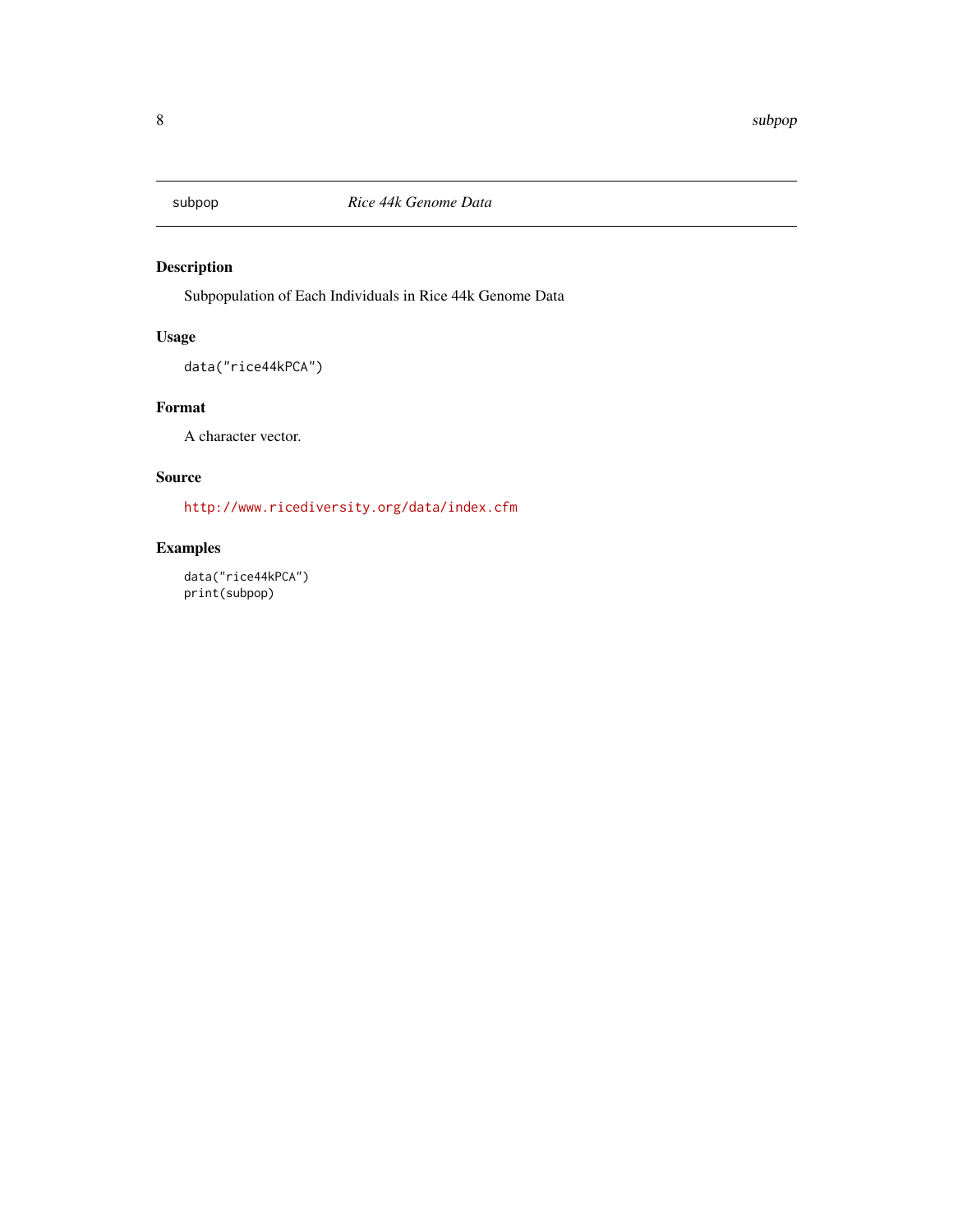<span id="page-7-0"></span>

#### Description

Subpopulation of Each Individuals in Rice 44k Genome Data

#### Usage

```
data("rice44kPCA")
```
#### Format

A character vector.

#### Source

<http://www.ricediversity.org/data/index.cfm>

#### Examples

data("rice44kPCA") print(subpop)